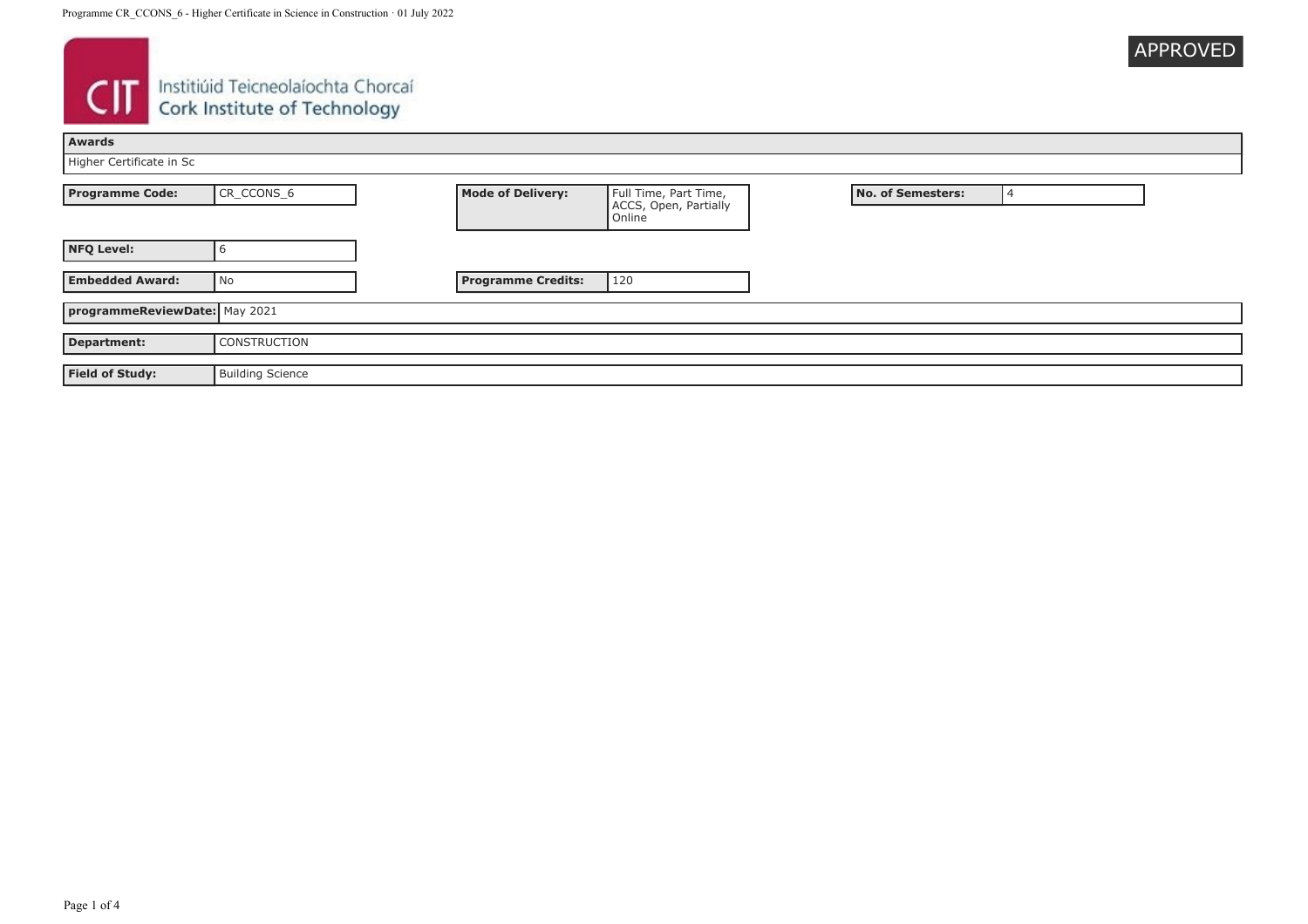

# **CIT** Instituid Teicneolaíochta Chorcaí

| Awards                        |                         |                           |                                                          |  |                          |  |
|-------------------------------|-------------------------|---------------------------|----------------------------------------------------------|--|--------------------------|--|
| Higher Certificate in Sc      |                         |                           |                                                          |  |                          |  |
| <b>Programme Code:</b>        | CR_CCONS_6              | <b>Mode of Delivery:</b>  | Full Time, Part Time,<br>ACCS, Open, Partially<br>Online |  | <b>No. of Semesters:</b> |  |
| <b>NFQ Level:</b>             |                         |                           |                                                          |  |                          |  |
| <b>Embedded Award:</b>        | No                      | <b>Programme Credits:</b> | 120                                                      |  |                          |  |
| programmeReviewDate: May 2021 |                         |                           |                                                          |  |                          |  |
| Department:                   | <b>CONSTRUCTION</b>     |                           |                                                          |  |                          |  |
| <b>Field of Study:</b>        | <b>Building Science</b> |                           |                                                          |  |                          |  |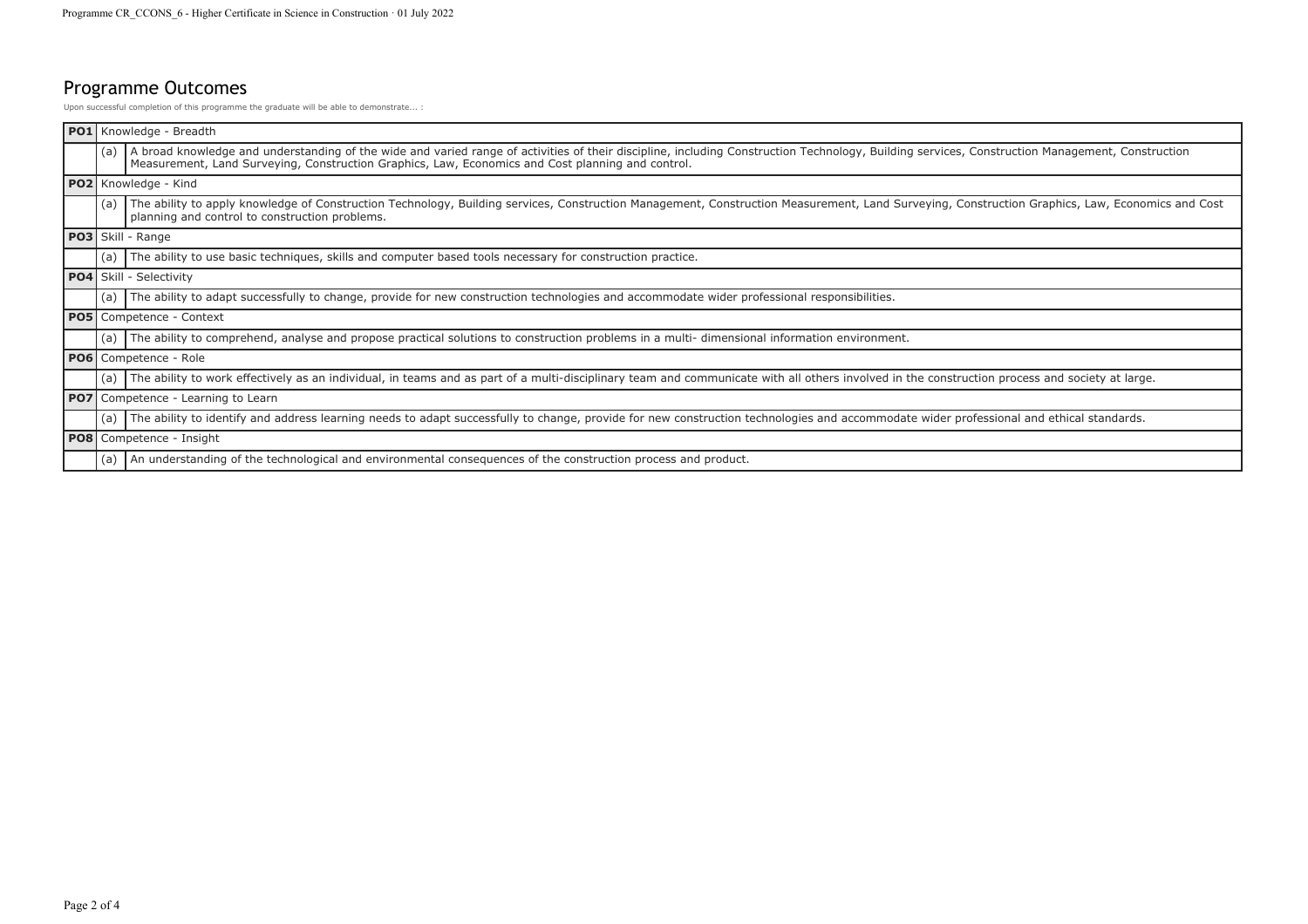## Programme Outcomes

Upon successful completion of this programme the graduate will be able to demonstrate... :

|                      | PO1 Knowledge - Breadth                                                                                                                                                                                                                                                                              |
|----------------------|------------------------------------------------------------------------------------------------------------------------------------------------------------------------------------------------------------------------------------------------------------------------------------------------------|
| (a)                  | A broad knowledge and understanding of the wide and varied range of activities of their discipline, including Construction Technology, Building services, Construction Management, Construction<br>Measurement, Land Surveying, Construction Graphics, Law, Economics and Cost planning and control. |
| PO2 Knowledge - Kind |                                                                                                                                                                                                                                                                                                      |
| (a)                  | The ability to apply knowledge of Construction Technology, Building services, Construction Management, Construction Measurement, Land Surveying, Construction Graphics, Law, Economics and Cost<br>planning and control to construction problems.                                                    |
|                      | PO3 Skill - Range                                                                                                                                                                                                                                                                                    |
| (a)                  | The ability to use basic techniques, skills and computer based tools necessary for construction practice.                                                                                                                                                                                            |
|                      | PO4 Skill - Selectivity                                                                                                                                                                                                                                                                              |
| (a)                  | The ability to adapt successfully to change, provide for new construction technologies and accommodate wider professional responsibilities.                                                                                                                                                          |
|                      | PO5 Competence - Context                                                                                                                                                                                                                                                                             |
| (a)                  | The ability to comprehend, analyse and propose practical solutions to construction problems in a multi-dimensional information environment.                                                                                                                                                          |
|                      | PO6 Competence - Role                                                                                                                                                                                                                                                                                |
| (a)                  | The ability to work effectively as an individual, in teams and as part of a multi-disciplinary team and communicate with all others involved in the construction process and society at large.                                                                                                       |
|                      | PO7 Competence - Learning to Learn                                                                                                                                                                                                                                                                   |
| (a)                  | The ability to identify and address learning needs to adapt successfully to change, provide for new construction technologies and accommodate wider professional and ethical standards.                                                                                                              |
|                      | <b>PO8</b> Competence - Insight                                                                                                                                                                                                                                                                      |
| (a)                  | An understanding of the technological and environmental consequences of the construction process and product.                                                                                                                                                                                        |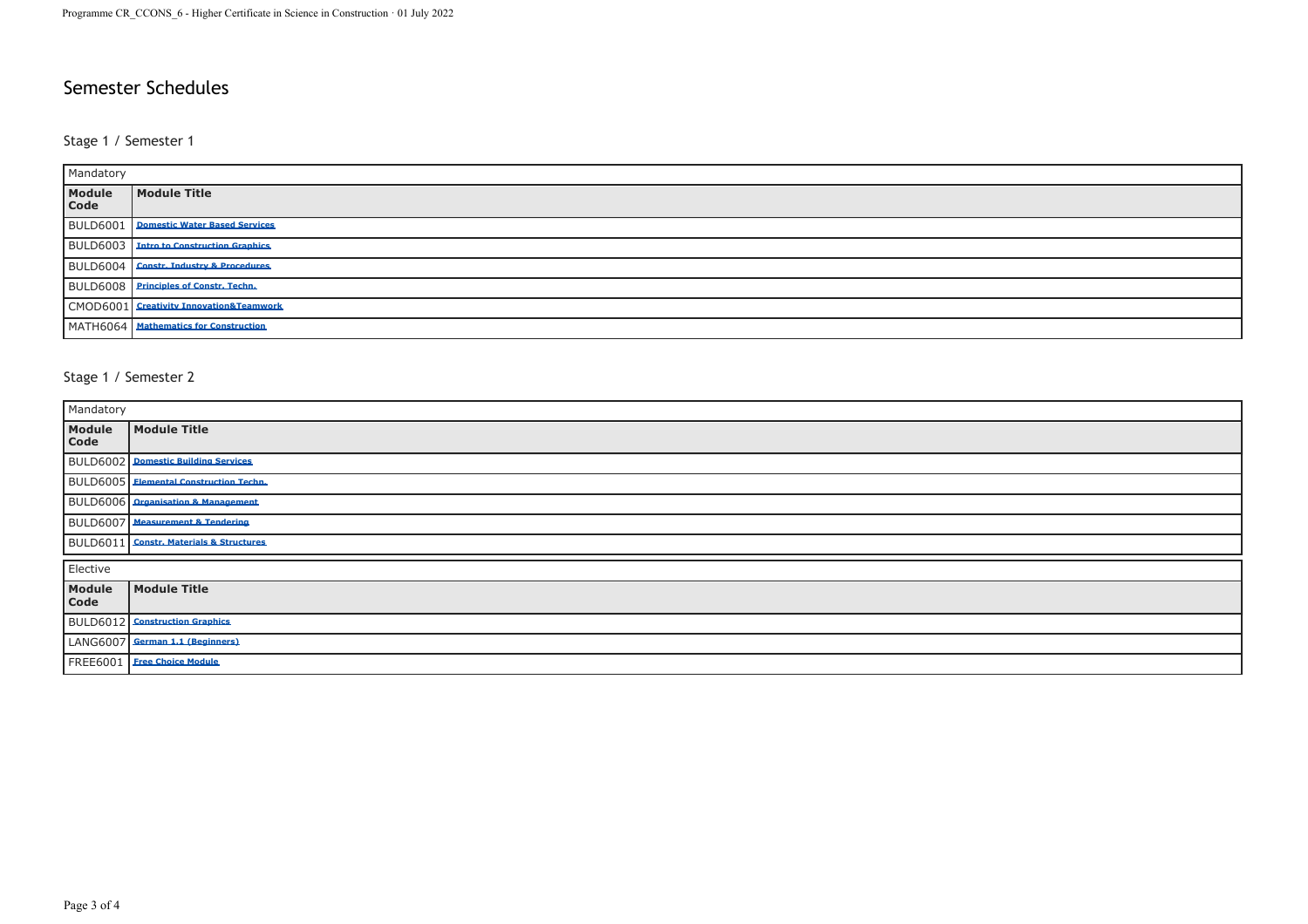### Semester Schedules

#### Stage 1 / Semester 1

| Mandatory       |                                                |  |
|-----------------|------------------------------------------------|--|
| Module<br>Code  | Module Title                                   |  |
| <b>BULD6001</b> | <b>Domestic Water Based Services</b>           |  |
|                 | <b>BULD6003</b> Intro to Construction Graphics |  |
|                 | BULD6004 Constr. Industry & Procedures         |  |
|                 | BULD6008 Principles of Constr. Techn.          |  |
|                 | CMOD6001 Creativity Innovation&Teamwork        |  |
|                 | MATH6064 Mathematics for Construction          |  |

#### Stage 1 / Semester 2

| Mandatory      |                                                |  |
|----------------|------------------------------------------------|--|
| Module<br>Code | Module Title                                   |  |
|                | <b>BULD6002</b> Domestic Building Services     |  |
|                | <b>BULD6005</b> Elemental Construction Techn.  |  |
|                | <b>BULD6006</b> Organisation & Management      |  |
|                | <b>BULD6007</b> Measurement & Tendering        |  |
|                | <b>BULD6011</b> Constr. Materials & Structures |  |
| Elective       |                                                |  |
| Module<br>Code | Module Title                                   |  |
|                | <b>BULD6012</b> Construction Graphics          |  |
|                | LANG6007 German 1.1 (Beginners)                |  |
|                | FREE6001   Free Choice Module                  |  |